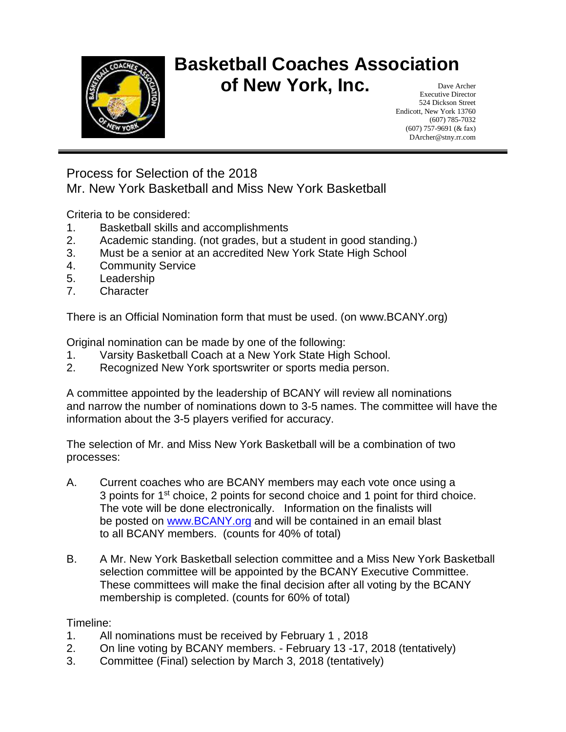

#### **Basketball Coaches Association of New York, Inc.** Dave Archer

Executive Director 524 Dickson Street Endicott, New York 13760 (607) 785-7032 (607) 757-9691 (& fax) DArcher@stny.rr.com

Process for Selection of the 2018 Mr. New York Basketball and Miss New York Basketball

Criteria to be considered:

- 1. Basketball skills and accomplishments
- 2. Academic standing. (not grades, but a student in good standing.)
- 3. Must be a senior at an accredited New York State High School
- 4. Community Service
- 5. Leadership
- 7. Character

There is an Official Nomination form that must be used. (on www.BCANY.org)

Original nomination can be made by one of the following:

- 1. Varsity Basketball Coach at a New York State High School.
- 2. Recognized New York sportswriter or sports media person.

A committee appointed by the leadership of BCANY will review all nominations and narrow the number of nominations down to 3-5 names. The committee will have the information about the 3-5 players verified for accuracy.

The selection of Mr. and Miss New York Basketball will be a combination of two processes:

- A. Current coaches who are BCANY members may each vote once using a 3 points for 1<sup>st</sup> choice, 2 points for second choice and 1 point for third choice. The vote will be done electronically. Information on the finalists will be posted on [www.BCANY.org](http://www.bcany.org/) and will be contained in an email blast to all BCANY members. (counts for 40% of total)
- B. A Mr. New York Basketball selection committee and a Miss New York Basketball selection committee will be appointed by the BCANY Executive Committee. These committees will make the final decision after all voting by the BCANY membership is completed. (counts for 60% of total)

Timeline:

- 1. All nominations must be received by February 1 , 2018
- 2. On line voting by BCANY members. February 13 -17, 2018 (tentatively)
- 3. Committee (Final) selection by March 3, 2018 (tentatively)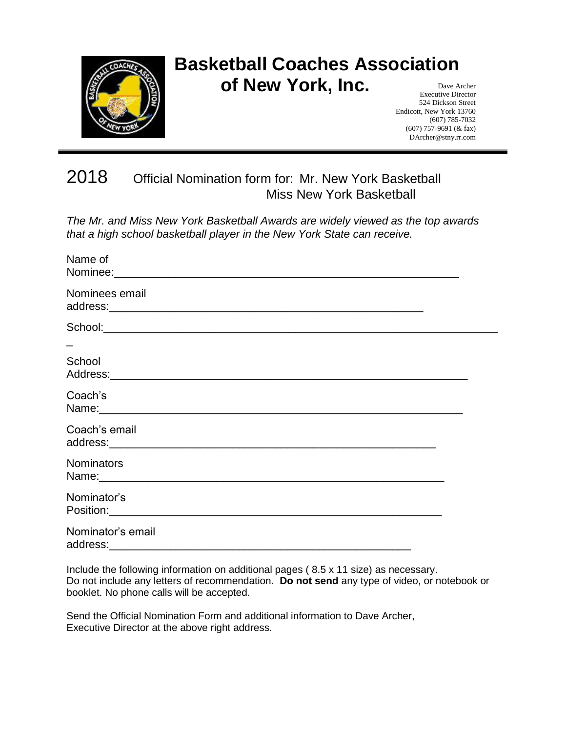

# **Basketball Coaches Association of New York, Inc.**

Dave Archer Executive Director 524 Dickson Street Endicott, New York 13760 (607) 785-7032 (607) 757-9691 (& fax) DArcher@stny.rr.com

### 2018 Official Nomination form for: Mr. New York Basketball Miss New York Basketball

*The Mr. and Miss New York Basketball Awards are widely viewed as the top awards that a high school basketball player in the New York State can receive.*

| Name of                       |  |
|-------------------------------|--|
| Nominees email                |  |
|                               |  |
|                               |  |
| School                        |  |
| Coach's                       |  |
| Coach's email                 |  |
| <b>Nominators</b>             |  |
| Nominator's                   |  |
| Nominator's email<br>address: |  |

Include the following information on additional pages ( 8.5 x 11 size) as necessary. Do not include any letters of recommendation. **Do not send** any type of video, or notebook or booklet. No phone calls will be accepted.

Send the Official Nomination Form and additional information to Dave Archer, Executive Director at the above right address.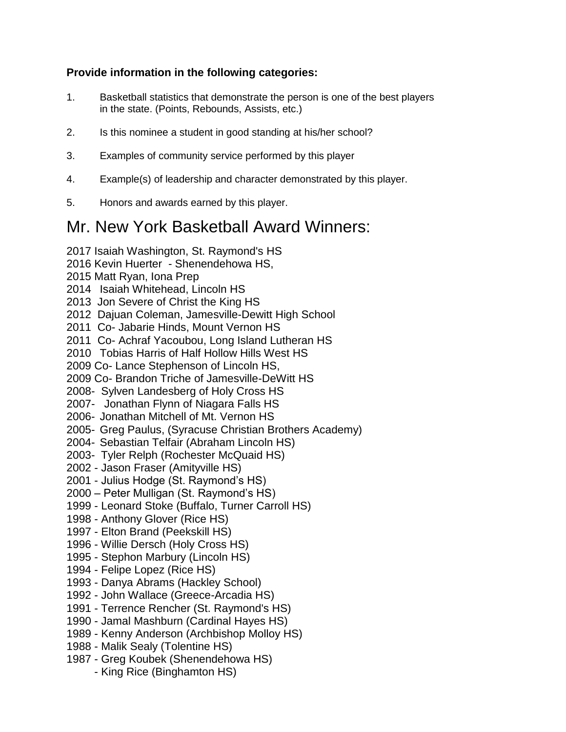#### **Provide information in the following categories:**

- 1. Basketball statistics that demonstrate the person is one of the best players in the state. (Points, Rebounds, Assists, etc.)
- 2. Is this nominee a student in good standing at his/her school?
- 3. Examples of community service performed by this player
- 4. Example(s) of leadership and character demonstrated by this player.
- 5. Honors and awards earned by this player.

### Mr. New York Basketball Award Winners:

2017 Isaiah Washington, St. Raymond's HS 2016 Kevin Huerter - Shenendehowa HS, 2015 Matt Ryan, Iona Prep 2014 Isaiah Whitehead, Lincoln HS 2013 Jon Severe of Christ the King HS 2012 Dajuan Coleman, Jamesville-Dewitt High School 2011 Co- Jabarie Hinds, Mount Vernon HS 2011 Co- Achraf Yacoubou, Long Island Lutheran HS 2010 Tobias Harris of Half Hollow Hills West HS 2009 Co- Lance Stephenson of Lincoln HS, 2009 Co- Brandon Triche of Jamesville-DeWitt HS 2008- Sylven Landesberg of Holy Cross HS 2007- Jonathan Flynn of Niagara Falls HS 2006- Jonathan Mitchell of Mt. Vernon HS 2005- Greg Paulus, (Syracuse Christian Brothers Academy) 2004- Sebastian Telfair (Abraham Lincoln HS) 2003- Tyler Relph (Rochester McQuaid HS) 2002 - Jason Fraser (Amityville HS) 2001 - Julius Hodge (St. Raymond's HS) 2000 – Peter Mulligan (St. Raymond's HS) 1999 - Leonard Stoke (Buffalo, Turner Carroll HS) 1998 - Anthony Glover (Rice HS) 1997 - Elton Brand (Peekskill HS) 1996 - Willie Dersch (Holy Cross HS) 1995 - Stephon Marbury (Lincoln HS) 1994 - Felipe Lopez (Rice HS) 1993 - Danya Abrams (Hackley School) 1992 - John Wallace (Greece-Arcadia HS) 1991 - Terrence Rencher (St. Raymond's HS) 1990 - Jamal Mashburn (Cardinal Hayes HS) 1989 - Kenny Anderson (Archbishop Molloy HS)

- 1988 Malik Sealy (Tolentine HS)
- 1987 Greg Koubek (Shenendehowa HS)
	- King Rice (Binghamton HS)